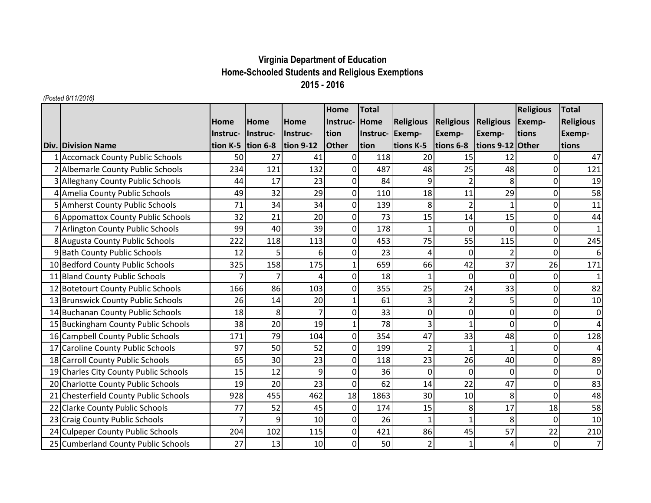## **Virginia Department of Education Home-Schooled Students and Religious Exemptions 2015 - 2016**

## *(Posted 8/11/2016)*

|                                       |          |                   |             | Home           | <b>Total</b> |                      |                          |                  | <b>Religious</b> | <b>Total</b>     |
|---------------------------------------|----------|-------------------|-------------|----------------|--------------|----------------------|--------------------------|------------------|------------------|------------------|
|                                       | Home     | <b>Home</b>       | <b>Home</b> | Instruc-       | Home         | <b>Religious</b>     | <b>Religious</b>         | <b>Religious</b> | Exemp-           | <b>Religious</b> |
|                                       | Instruc- | Instruc-          | lInstruc-   | tion           | Instruc-     | Exemp-               | Exemp-                   | Exemp-           | tions            | <b>Exemp-</b>    |
| <b>Div. Division Name</b>             |          | tion K-5 tion 6-8 | tion $9-12$ | <b>Other</b>   | tion         | tions K-5            | tions 6-8                | tions 9-12 Other |                  | tions            |
| 1 Accomack County Public Schools      | 50       | 27                | 41          | 0              | 118          | 20                   | 15                       | 12               | 0                | 47               |
| 2 Albemarle County Public Schools     | 234      | 121               | 132         | 0              | 487          | 48                   | 25                       | 48               | $\Omega$         | 121              |
| 3 Alleghany County Public Schools     | 44       | 17                | 23          | $\overline{0}$ | 84           | 9                    | $\overline{2}$           | 8                | $\mathbf 0$      | 19               |
| 4 Amelia County Public Schools        | 49       | 32                | 29          | $\overline{0}$ | 110          | 18                   | 11                       | 29               | $\mathbf 0$      | 58               |
| 5 Amherst County Public Schools       | 71       | 34                | 34          | 0              | 139          | 8                    |                          |                  | $\mathbf 0$      | 11               |
| 6 Appomattox County Public Schools    | 32       | 21                | 20          | 0              | 73           | 15                   | 14                       | 15               | $\mathbf 0$      | 44               |
| 7 Arlington County Public Schools     | 99       | 40                | 39          | 0              | 178          |                      | $\Omega$                 | $\Omega$         | $\mathbf 0$      | $\mathbf{1}$     |
| 8 Augusta County Public Schools       | 222      | 118               | 113         | $\mathbf 0$    | 453          | 75                   | 55                       | 115              | $\mathbf 0$      | 245              |
| 9 Bath County Public Schools          | 12       | 5                 | 6           | 0              | 23           | $\overline{\Lambda}$ | 0                        |                  | $\mathbf 0$      | 6                |
| 10 Bedford County Public Schools      | 325      | 158               | 175         | $\mathbf{1}$   | 659          | 66                   | 42                       | 37               | 26               | 171              |
| 11 Bland County Public Schools        | 7        | 7                 |             | 0              | 18           |                      | $\mathbf 0$              | $\mathbf{0}$     | $\Omega$         | $\mathbf{1}$     |
| 12 Botetourt County Public Schools    | 166      | 86                | 103         | 0              | 355          | 25                   | 24                       | 33               | $\Omega$         | 82               |
| 13 Brunswick County Public Schools    | 26       | 14                | 20          |                | 61           |                      | $\overline{\phantom{a}}$ | 5                | 0                | 10               |
| 14 Buchanan County Public Schools     | 18       | 8                 |             | $\Omega$       | 33           | $\Omega$             | 0                        | 0                | $\Omega$         | 0                |
| 15 Buckingham County Public Schools   | 38       | 20                | 19          |                | 78           | 3                    |                          | 0                | $\overline{0}$   | 4                |
| 16 Campbell County Public Schools     | 171      | 79                | 104         | 0              | 354          | 47                   | 33                       | 48               | $\mathbf 0$      | 128              |
| 17 Caroline County Public Schools     | 97       | 50                | 52          | $\overline{0}$ | 199          |                      |                          | $\mathbf{1}$     | $\Omega$         | 4                |
| 18 Carroll County Public Schools      | 65       | 30                | 23          | 0              | 118          | 23                   | 26                       | 40               | $\mathbf 0$      | 89               |
| 19 Charles City County Public Schools | 15       | 12                | 9           | 0              | 36           | 0                    | 0                        | 0                | 0                | 0                |
| 20 Charlotte County Public Schools    | 19       | 20                | 23          | $\Omega$       | 62           | 14                   | 22                       | 47               | 0                | 83               |
| 21 Chesterfield County Public Schools | 928      | 455               | 462         | 18             | 1863         | 30                   | 10                       | 8                | $\Omega$         | 48               |
| 22 Clarke County Public Schools       | 77       | 52                | 45          | 0              | 174          | 15                   | 8                        | 17               | 18               | 58               |
| 23 Craig County Public Schools        | 7        | 9                 | 10          | 0              | 26           |                      |                          | 8                | $\mathbf 0$      | 10               |
| 24 Culpeper County Public Schools     | 204      | 102               | 115         | $\Omega$       | 421          | 86                   | 45                       | 57               | 22               | 210              |
| 25 Cumberland County Public Schools   | 27       | 13                | 10          | 0              | 50           |                      |                          | 4                | $\mathbf 0$      | $\overline{7}$   |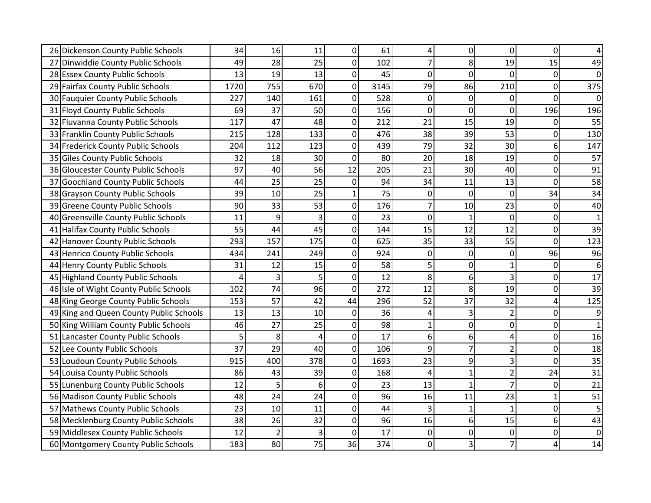| 26 Dickenson County Public Schools      | 34   | 16             | 11  | 0              | 61   | 4              | 0            | 0              | 0            | 4              |
|-----------------------------------------|------|----------------|-----|----------------|------|----------------|--------------|----------------|--------------|----------------|
| 27 Dinwiddie County Public Schools      | 49   | 28             | 25  | $\Omega$       | 102  | 7              | 8            | 19             | 15           | 49             |
| 28 Essex County Public Schools          | 13   | 19             | 13  | $\Omega$       | 45   | $\overline{0}$ | 0            | $\Omega$       | 0            | 0              |
| 29 Fairfax County Public Schools        | 1720 | 755            | 670 | 0              | 3145 | 79             | 86           | 210            | 0            | 375            |
| 30 Fauquier County Public Schools       | 227  | 140            | 161 | 0              | 528  | $\overline{0}$ | 0            | 0              | 0            | 0              |
| 31 Floyd County Public Schools          | 69   | 37             | 50  | $\Omega$       | 156  | 0              | 0            | 0              | 196          | 196            |
| 32 Fluvanna County Public Schools       | 117  | 47             | 48  | 0              | 212  | 21             | 15           | 19             | 0            | 55             |
| 33 Franklin County Public Schools       | 215  | 128            | 133 | 0              | 476  | 38             | 39           | 53             | 0            | 130            |
| 34 Frederick County Public Schools      | 204  | 112            | 123 | $\mathbf 0$    | 439  | 79             | 32           | 30             | 6            | 147            |
| 35 Giles County Public Schools          | 32   | 18             | 30  | $\overline{0}$ | 80   | 20             | 18           | 19             | 0            | 57             |
| 36 Gloucester County Public Schools     | 97   | 40             | 56  | 12             | 205  | 21             | 30           | 40             | 0            | 91             |
| 37 Goochland County Public Schools      | 44   | 25             | 25  | $\overline{0}$ | 94   | 34             | 11           | 13             | 0            | 58             |
| 38 Grayson County Public Schools        | 39   | 10             | 25  | $\mathbf{1}$   | 75   | $\overline{0}$ | 0            | $\mathbf 0$    | 34           | 34             |
| 39 Greene County Public Schools         | 90   | 33             | 53  | 0              | 176  | $\overline{7}$ | 10           | 23             | 0            | 40             |
| 40 Greensville County Public Schools    | 11   | 9              | 3   | 0              | 23   | $\Omega$       | 1            | 0              | 0            | $\mathbf{1}$   |
| 41 Halifax County Public Schools        | 55   | 44             | 45  | 0              | 144  | 15             | 12           | 12             | 0            | 39             |
| 42 Hanover County Public Schools        | 293  | 157            | 175 | 0              | 625  | 35             | 33           | 55             | 0            | 123            |
| 43 Henrico County Public Schools        | 434  | 241            | 249 | $\overline{0}$ | 924  | 0              | 0            | $\overline{0}$ | 96           | 96             |
| 44 Henry County Public Schools          | 31   | 12             | 15  | 0              | 58   | 5              | 0            | 1              | 0            | 6              |
| 45 Highland County Public Schools       | 4    | 3              | 5   | 0              | 12   | 8              | 6            | 3              | 0            | 17             |
| 46 Isle of Wight County Public Schools  | 102  | 74             | 96  | 0              | 272  | 12             | 8            | 19             | 0            | 39             |
| 48 King George County Public Schools    | 153  | 57             | 42  | 44             | 296  | 52             | 37           | 32             | 4            | 125            |
| 49 King and Queen County Public Schools | 13   | 13             | 10  | $\mathbf 0$    | 36   | 4              | 3            | $\overline{a}$ | 0            | $\overline{9}$ |
| 50 King William County Public Schools   | 46   | 27             | 25  | $\Omega$       | 98   | $\mathbf{1}$   | 0            | 0              | 0            | $\mathbf{1}$   |
| 51 Lancaster County Public Schools      | 5    | 8              | 4   | 0              | 17   | 6              | 6            | 4              | 0            | 16             |
| 52 Lee County Public Schools            | 37   | 29             | 40  | 0              | 106  | 9              | 7            | $\overline{2}$ | 0            | 18             |
| 53 Loudoun County Public Schools        | 915  | 400            | 378 | 0              | 1693 | 23             | 9            | 3              | 0            | 35             |
| 54 Louisa County Public Schools         | 86   | 43             | 39  | 0              | 168  | $\overline{4}$ | $\mathbf{1}$ | $\overline{a}$ | 24           | 31             |
| 55 Lunenburg County Public Schools      | 12   | 5              | 6   | 0              | 23   | 13             | $\mathbf{1}$ | 7              | 0            | 21             |
| 56 Madison County Public Schools        | 48   | 24             | 24  | 0              | 96   | 16             | 11           | 23             | $\mathbf{1}$ | 51             |
| 57 Mathews County Public Schools        | 23   | 10             | 11  | 0              | 44   | 3              | $\mathbf{1}$ | $\mathbf{1}$   | 0            | 5              |
| 58 Mecklenburg County Public Schools    | 38   | 26             | 32  | 0              | 96   | 16             | 6            | 15             | 6            | 43             |
| 59 Middlesex County Public Schools      | 12   | $\overline{2}$ | 3   | 0              | 17   | 0              | 0            | 0              | 0            | $\overline{0}$ |
| 60 Montgomery County Public Schools     | 183  | 80             | 75  | 36             | 374  | $\overline{0}$ | 3            | 7              | 4            | 14             |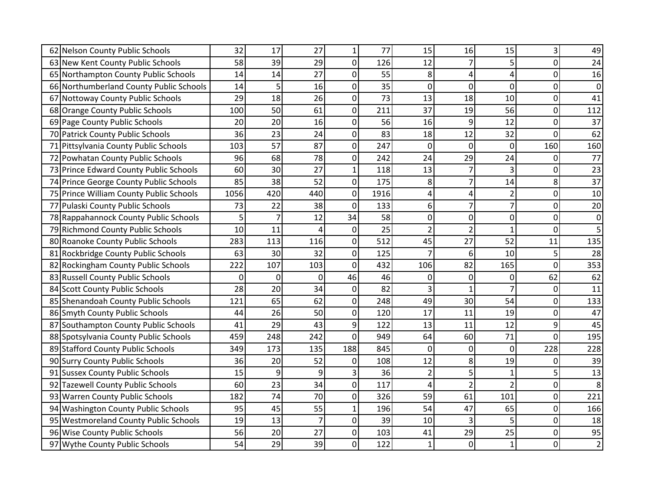| 62 Nelson County Public Schools         | 32   | 17             | 27             | 1              | 77   | 15             | 16             | 15             | 3   | 49             |
|-----------------------------------------|------|----------------|----------------|----------------|------|----------------|----------------|----------------|-----|----------------|
| 63 New Kent County Public Schools       | 58   | 39             | 29             | 0              | 126  | 12             | $\overline{7}$ | 5              | 0   | 24             |
| 65 Northampton County Public Schools    | 14   | 14             | 27             | $\Omega$       | 55   | 8              | 4              | 4              | 0   | 16             |
| 66 Northumberland County Public Schools | 14   | 5              | 16             | 0              | 35   | 0              | 0              | 0              | 0   | 0              |
| 67 Nottoway County Public Schools       | 29   | 18             | 26             | 0              | 73   | 13             | 18             | 10             | 0   | 41             |
| 68 Orange County Public Schools         | 100  | 50             | 61             | 0              | 211  | 37             | 19             | 56             | 0   | 112            |
| 69 Page County Public Schools           | 20   | 20             | 16             | 0              | 56   | 16             | 9              | 12             | 0   | 37             |
| 70 Patrick County Public Schools        | 36   | 23             | 24             | $\Omega$       | 83   | 18             | 12             | 32             | 0   | 62             |
| 71 Pittsylvania County Public Schools   | 103  | 57             | 87             | 0              | 247  | 0              | $\overline{0}$ | 0              | 160 | 160            |
| 72 Powhatan County Public Schools       | 96   | 68             | 78             | 0              | 242  | 24             | 29             | 24             | 0   | 77             |
| 73 Prince Edward County Public Schools  | 60   | 30             | 27             | 1              | 118  | 13             | 7              | 3              | 0   | 23             |
| 74 Prince George County Public Schools  | 85   | 38             | 52             | $\overline{0}$ | 175  | 8              | 7              | 14             | 8   | 37             |
| 75 Prince William County Public Schools | 1056 | 420            | 440            | 0              | 1916 | 4              | 4              | $\overline{2}$ | 0   | 10             |
| 77 Pulaski County Public Schools        | 73   | 22             | 38             | 0              | 133  | 6              | $\overline{7}$ | $\overline{7}$ | 0   | 20             |
| 78 Rappahannock County Public Schools   | 5    | $\overline{7}$ | 12             | 34             | 58   | 0              | 0              | 0              | 0   | 0              |
| 79 Richmond County Public Schools       | 10   | 11             | 4              | $\mathbf 0$    | 25   | $\overline{2}$ | $\overline{2}$ | 1              | 0   | 5              |
| 80 Roanoke County Public Schools        | 283  | 113            | 116            | 0              | 512  | 45             | 27             | 52             | 11  | 135            |
| 81 Rockbridge County Public Schools     | 63   | 30             | 32             | 0              | 125  | $\overline{7}$ | 6              | 10             | 5   | 28             |
| 82 Rockingham County Public Schools     | 222  | 107            | 103            | 0              | 432  | 106            | 82             | 165            | 0   | 353            |
| 83 Russell County Public Schools        | 0    | $\mathbf 0$    | $\overline{0}$ | 46             | 46   | 0              | 0              | 0              | 62  | 62             |
| 84 Scott County Public Schools          | 28   | 20             | 34             | 0              | 82   |                | 1              | 7              | 0   | 11             |
| 85 Shenandoah County Public Schools     | 121  | 65             | 62             | 0              | 248  | 49             | 30             | 54             | 0   | 133            |
| 86 Smyth County Public Schools          | 44   | 26             | 50             | 0              | 120  | 17             | 11             | 19             | 0   | 47             |
| 87 Southampton County Public Schools    | 41   | 29             | 43             | 9              | 122  | 13             | 11             | 12             | 9   | 45             |
| 88 Spotsylvania County Public Schools   | 459  | 248            | 242            | 0              | 949  | 64             | 60             | 71             | 0   | 195            |
| 89 Stafford County Public Schools       | 349  | 173            | 135            | 188            | 845  | 0              | 0              | 0              | 228 | 228            |
| 90 Surry County Public Schools          | 36   | 20             | 52             | 0              | 108  | 12             | 8              | 19             | 0   | 39             |
| 91 Sussex County Public Schools         | 15   | 9              | 9              | 3              | 36   | $\overline{2}$ | 5              | $\mathbf{1}$   | 5   | 13             |
| 92 Tazewell County Public Schools       | 60   | 23             | 34             | 0              | 117  | 4              | $\overline{2}$ | $\overline{2}$ | 0   | 8 <sup>°</sup> |
| 93 Warren County Public Schools         | 182  | 74             | 70             | 0              | 326  | 59             | 61             | 101            | 0   | 221            |
| 94 Washington County Public Schools     | 95   | 45             | 55             | $\mathbf{1}$   | 196  | 54             | 47             | 65             | 0   | 166            |
| 95 Westmoreland County Public Schools   | 19   | 13             | $\overline{7}$ | $\mathbf 0$    | 39   | 10             | 3              | 5              | 0   | 18             |
| 96 Wise County Public Schools           | 56   | 20             | 27             | 0              | 103  | 41             | 29             | 25             | 0   | 95             |
| 97 Wythe County Public Schools          | 54   | 29             | 39             | 0              | 122  | $\mathbf{1}$   | $\mathbf 0$    | $\mathbf{1}$   | 0   | $\overline{2}$ |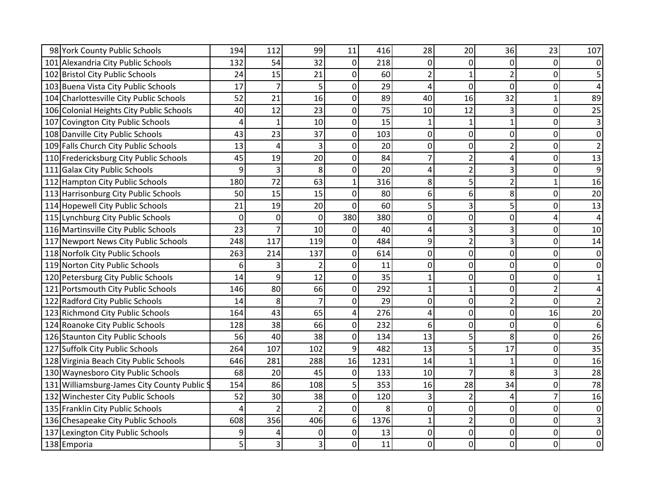| 98 York County Public Schools               | 194 | 112            | 99              | 11           | 416  | 28             | 20             | 36             | 23             | 107            |
|---------------------------------------------|-----|----------------|-----------------|--------------|------|----------------|----------------|----------------|----------------|----------------|
| 101 Alexandria City Public Schools          | 132 | 54             | 32              | 0            | 218  | $\Omega$       | 0              | $\Omega$       | 0              | $\Omega$       |
| 102 Bristol City Public Schools             | 24  | 15             | 21              | 0            | 60   | $\overline{2}$ | $\mathbf{1}$   | $\overline{2}$ | 0              | 5              |
| 103 Buena Vista City Public Schools         | 17  | $\overline{7}$ | 5               | 0            | 29   | Δ              | 0              | $\mathbf 0$    | 0              |                |
| 104 Charlottesville City Public Schools     | 52  | 21             | 16              | 0            | 89   | 40             | 16             | 32             | $\mathbf{1}$   | 89             |
| 106 Colonial Heights City Public Schools    | 40  | 12             | 23              | 0            | 75   | 10             | 12             | 3              | 0              | 25             |
| 107 Covington City Public Schools           | 4   | $\mathbf{1}$   | 10              | 0            | 15   | 1              |                | 1              | 0              | 3              |
| 108 Danville City Public Schools            | 43  | 23             | 37              | 0            | 103  | 0              | 0              | 0              | 0              | 0              |
| 109 Falls Church City Public Schools        | 13  | 4              | 3               | 0            | 20   | 0              | 0              | $\overline{2}$ | 0              | $\overline{2}$ |
| 110 Fredericksburg City Public Schools      | 45  | 19             | 20              | 0            | 84   |                | $\overline{2}$ | 4              | 0              | 13             |
| 111 Galax City Public Schools               | 9   | 3              | 8               | 0            | 20   | Δ              | $\overline{2}$ | 3              | 0              | 9              |
| 112 Hampton City Public Schools             | 180 | 72             | 63              | $\mathbf{1}$ | 316  | 8              | 5              | $\overline{2}$ | $\mathbf{1}$   | 16             |
| 113 Harrisonburg City Public Schools        | 50  | 15             | 15              | 0            | 80   | 6              | 6              | 8              | 0              | 20             |
| 114 Hopewell City Public Schools            | 21  | 19             | 20 <sup>1</sup> | $\Omega$     | 60   | 5              | 3              | 5              | 0              | 13             |
| 115 Lynchburg City Public Schools           | 0   | 0              | $\overline{0}$  | 380          | 380  | 0              | 0              | 0              | 4              |                |
| 116 Martinsville City Public Schools        | 23  | 7              | 10              | 0            | 40   |                | 3              | 3              | 0              | 10             |
| 117 Newport News City Public Schools        | 248 | 117            | 119             | 0            | 484  | 9              | $\overline{2}$ | 3              | 0              | 14             |
| 118 Norfolk City Public Schools             | 263 | 214            | 137             | 0            | 614  | 0              | 0              | 0              | 0              | 0              |
| 119 Norton City Public Schools              | 6   | 3              | $\overline{2}$  | 0            | 11   | 0              | 0              | 0              | 0              | 0              |
| 120 Petersburg City Public Schools          | 14  | 9              | 12              | 0            | 35   |                | 0              | $\mathbf 0$    | 0              |                |
| 121 Portsmouth City Public Schools          | 146 | 80             | 66              | 0            | 292  |                |                | $\mathbf 0$    | $\overline{2}$ |                |
| 122 Radford City Public Schools             | 14  | 8              | 7               | 0            | 29   | 0              | 0              | 2              | 0              | $\overline{2}$ |
| 123 Richmond City Public Schools            | 164 | 43             | 65              | 4            | 276  | $\overline{A}$ | 0              | $\mathbf 0$    | 16             | 20             |
| 124 Roanoke City Public Schools             | 128 | 38             | 66              | 0            | 232  | 6              | 0              | $\mathbf 0$    | 0              | 6              |
| 126 Staunton City Public Schools            | 56  | 40             | 38              | 0            | 134  | 13             |                | 8              | 0              | 26             |
| 127 Suffolk City Public Schools             | 264 | 107            | 102             | 9            | 482  | 13             | 5              | 17             | $\mathbf 0$    | 35             |
| 128 Virginia Beach City Public Schools      | 646 | 281            | 288             | 16           | 1231 | 14             |                | $\mathbf{1}$   | 0              | 16             |
| 130 Waynesboro City Public Schools          | 68  | 20             | 45              | 0            | 133  | 10             | 7              | 8              | 3              | 28             |
| 131 Williamsburg-James City County Public S | 154 | 86             | 108             | 5            | 353  | 16             | 28             | 34             | 0              | 78             |
| 132 Winchester City Public Schools          | 52  | 30             | 38              | 0            | 120  |                | $\overline{2}$ | 4              | 7              | 16             |
| 135 Franklin City Public Schools            | 4   | $\overline{2}$ | $\overline{2}$  | 0            | 8    | 0              | 0              | 0              | $\overline{0}$ | $\overline{0}$ |
| 136 Chesapeake City Public Schools          | 608 | 356            | 406             | 6            | 1376 |                | $\overline{2}$ | $\mathbf 0$    | 0              | 3              |
| 137 Lexington City Public Schools           | 9   | 4              | 0               | 0            | 13   | 0              | 0              | 0              | 0              | 0              |
| 138 Emporia                                 | 5   | 3              | 3               | 0            | 11   | 0              | 0              | 0              | 0              | 0              |